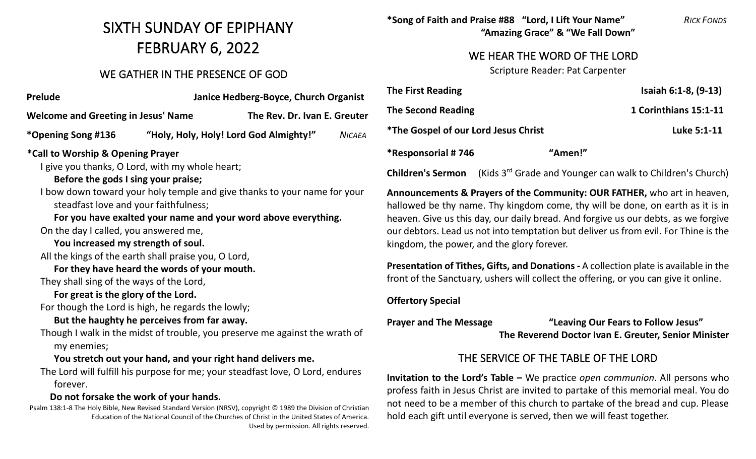# SIXTH SUNDAY OF EPIPHANY FEBRUARY 6, 2022

## WE GATHER IN THE PRESENCE OF GOD

| Prelude                                              | Janice Hedberg-Boyce, Church Organist |                                                                                |               |  |  |
|------------------------------------------------------|---------------------------------------|--------------------------------------------------------------------------------|---------------|--|--|
| <b>Welcome and Greeting in Jesus' Name</b>           |                                       | The Rev. Dr. Ivan E. Greuter                                                   |               |  |  |
| *Opening Song #136                                   |                                       | "Holy, Holy, Holy! Lord God Almighty!"                                         | <b>NICAEA</b> |  |  |
| *Call to Worship & Opening Prayer                    |                                       |                                                                                |               |  |  |
| I give you thanks, O Lord, with my whole heart;      |                                       |                                                                                |               |  |  |
| Before the gods I sing your praise;                  |                                       |                                                                                |               |  |  |
|                                                      |                                       | I bow down toward your holy temple and give thanks to your name for your       |               |  |  |
| steadfast love and your faithfulness;                |                                       |                                                                                |               |  |  |
|                                                      |                                       | For you have exalted your name and your word above everything.                 |               |  |  |
| On the day I called, you answered me,                |                                       |                                                                                |               |  |  |
| You increased my strength of soul.                   |                                       |                                                                                |               |  |  |
| All the kings of the earth shall praise you, O Lord, |                                       |                                                                                |               |  |  |
| For they have heard the words of your mouth.         |                                       |                                                                                |               |  |  |
| They shall sing of the ways of the Lord,             |                                       |                                                                                |               |  |  |
| For great is the glory of the Lord.                  |                                       |                                                                                |               |  |  |
| For though the Lord is high, he regards the lowly;   |                                       |                                                                                |               |  |  |
| But the haughty he perceives from far away.          |                                       |                                                                                |               |  |  |
|                                                      |                                       | Though I walk in the midst of trouble, you preserve me against the wrath of    |               |  |  |
| my enemies;                                          |                                       |                                                                                |               |  |  |
|                                                      |                                       | You stretch out your hand, and your right hand delivers me.                    |               |  |  |
| forever.                                             |                                       | The Lord will fulfill his purpose for me; your steadfast love, O Lord, endures |               |  |  |
| Do not forsake the work of your hands.               |                                       |                                                                                |               |  |  |

Psalm 138:1-8 The Holy Bible, New Revised Standard Version (NRSV), copyright © 1989 the Division of Christian Education of the National Council of the Churches of Christ in the United States of America. Used by permission. All rights reserved. **\*Song of Faith and Praise #88 "Lord, I Lift Your Name"** *RICK FONDS* **"Amazing Grace" & "We Fall Down"**

## WE HEAR THE WORD OF THE LORD

Scripture Reader: Pat Carpenter

| <b>The First Reading</b>             |         | Isaiah 6:1-8, (9-13)  |
|--------------------------------------|---------|-----------------------|
| <b>The Second Reading</b>            |         | 1 Corinthians 15:1-11 |
| *The Gospel of our Lord Jesus Christ |         | Luke 5:1-11           |
| *Responsorial # 746                  | "Amen!" |                       |

**Children's Sermon** (Kids 3rd Grade and Younger can walk to Children's Church)

**Announcements & Prayers of the Community: OUR FATHER,** who art in heaven, hallowed be thy name. Thy kingdom come, thy will be done, on earth as it is in heaven. Give us this day, our daily bread. And forgive us our debts, as we forgive our debtors. Lead us not into temptation but deliver us from evil. For Thine is the kingdom, the power, and the glory forever.

**Presentation of Tithes, Gifts, and Donations -** A collection plate is available in the front of the Sanctuary, ushers will collect the offering, or you can give it online.

#### **Offertory Special**

**Prayer and The Message "Leaving Our Fears to Follow Jesus" The Reverend Doctor Ivan E. Greuter, Senior Minister**

# THE SERVICE OF THE TABLE OF THE LORD

**Invitation to the Lord's Table –** We practice *open communion*. All persons who profess faith in Jesus Christ are invited to partake of this memorial meal. You do not need to be a member of this church to partake of the bread and cup. Please hold each gift until everyone is served, then we will feast together.